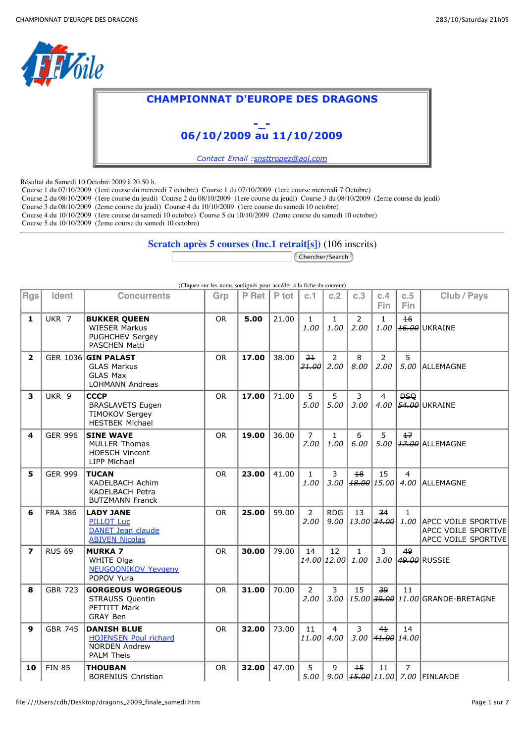

## **CHAMPIONNAT D'EUROPE DES DRAGONS**



*Contact Email :snsttropez@aol.com*

Résultat du Samedi 10 Octobre 2009 à 20.50 h.

Course 1 du 07/10/2009 (1ere course du mercredi 7 octobre) Course 1 du 07/10/2009 (1ere course mercredi 7 Octobre)

Course 2 du 08/10/2009 (1ere course du jeudi) Course 2 du 08/10/2009 (1ere course du jeudi) Course 3 du 08/10/2009 (2eme course du jeudi)

Course 3 du 08/10/2009 (2eme course du jeudi) Course 4 du 10/10/2009 (1ere course du samedi 10 octobre)

Course 4 du 10/10/2009 (1ere course du samedi 10 octobre) Course 5 du 10/10/2009 (2eme course du samedi 10 octobre)

Course 5 du 10/10/2009 (2eme course du samedi 10 octobre)

**Scratch après 5 courses (Inc.1 retrait[s])** (106 inscrits)

Chercher/Search

|                         |                  |                                                                                                 | (Cliquez sur les noms soulignés pour accéder à la fiche du coureur) |       |       |                         |                        |                        |                                           |                     |                                                                        |
|-------------------------|------------------|-------------------------------------------------------------------------------------------------|---------------------------------------------------------------------|-------|-------|-------------------------|------------------------|------------------------|-------------------------------------------|---------------------|------------------------------------------------------------------------|
| <b>Rgs</b>              | Ident            | <b>Concurrents</b>                                                                              | Grp                                                                 | P Ret | P tot | c.1                     | c.2                    | c.3                    | c.4<br><b>Fin</b>                         | c.5<br>Fin          | Club / Pays                                                            |
| $\mathbf{1}$            | UKR 7            | <b>BUKKER QUEEN</b><br><b>WIESER Markus</b><br>PUGHCHEV Sergey<br><b>PASCHEN Matti</b>          | <b>OR</b>                                                           | 5.00  | 21.00 | $\mathbf{1}$<br>1.00    | $\mathbf{1}$<br>1.00   | $\overline{2}$<br>2.00 | $\mathbf{1}$                              | $\overline{46}$     | $1.00$ $\left  \frac{46.00}{20} \right $ UKRAINE                       |
| $\overline{2}$          |                  | GER 1036 GIN PALAST<br><b>GLAS Markus</b><br><b>GLAS Max</b><br><b>LOHMANN Andreas</b>          | <b>OR</b>                                                           | 17.00 | 38.00 | 2 <sub>1</sub><br>21.00 | $\overline{2}$<br>2.00 | 8<br>8.00              | 2<br>2.00                                 | 5                   | 5.00 ALLEMAGNE                                                         |
| 3                       | UKR <sub>9</sub> | <b>CCCP</b><br><b>BRASLAVETS Eugen</b><br><b>TIMOKOV Sergey</b><br><b>HESTBEK Michael</b>       | <b>OR</b>                                                           | 17.00 | 71.00 | 5<br>5.00               | 5<br>5.00              | 3<br>3.00              | 4<br>4.00                                 | <b>DSQ</b>          | 54.00 UKRAINE                                                          |
| 4                       | <b>GER 996</b>   | <b>SINE WAVE</b><br><b>MULLER Thomas</b><br><b>HOESCH Vincent</b><br>LIPP Michael               | <b>OR</b>                                                           | 19.00 | 36.00 | $\overline{7}$<br>7.00  | $\mathbf{1}$<br>1.00   | 6<br>6.00              | 5                                         | $+7$                | 5.00 37.00 ALLEMAGNE                                                   |
| 5                       | <b>GER 999</b>   | TUCAN<br>KADELBACH Achim<br>KADELBACH Petra<br><b>BUTZMANN Franck</b>                           | OR.                                                                 | 23.00 | 41.00 | $\mathbf{1}$<br>1.00    | 3<br>3.00              | $+8$                   | 15<br>$\vert$ 18.00 $\vert$ 15.00 $\vert$ | $\overline{4}$      | 4.00 ALLEMAGNE                                                         |
| 6                       | <b>FRA 386</b>   | <b>LADY JANE</b><br><b>PILLOT Luc</b><br><b>DANET Jean claude</b><br><b>ABIVEN Nicolas</b>      | <b>OR</b>                                                           | 25.00 | 59.00 | $\overline{2}$<br>2.00  | <b>RDG</b><br>9.00     | 13                     | 34<br>$13.00$ 34.00                       | $\mathbf{1}$        | 1.00 APCC VOILE SPORTIVE<br>APCC VOILE SPORTIVE<br>APCC VOILE SPORTIVE |
| $\overline{\mathbf{z}}$ | <b>RUS 69</b>    | <b>MURKA 7</b><br>WHITE Olga<br><b>NEUGOONIKOV Yevgeny</b><br>POPOV Yura                        | <b>OR</b>                                                           | 30.00 | 79.00 | 14                      | 12<br>14.00 12.00      | $\mathbf{1}$<br>1.00   | 3                                         | 49                  | 3.00 49.00 RUSSIE                                                      |
| 8                       | <b>GBR 723</b>   | <b>GORGEOUS WORGEOUS</b><br>STRAUSS Quentin<br>PETTITT Mark<br><b>GRAY Ben</b>                  | <b>OR</b>                                                           | 31.00 | 70.00 | 2<br>2.00               | 3<br>3.00              | 15                     | 39                                        | 11                  | 15.00 39.00 11.00 GRANDE-BRETAGNE                                      |
| 9                       | <b>GBR 745</b>   | <b>DANISH BLUE</b><br><b>HOJENSEN Poul richard</b><br><b>NORDEN Andrew</b><br><b>PALM Theis</b> | <b>OR</b>                                                           | 32.00 | 73.00 | 11<br>11.00             | 4<br>4.00              | 3<br>3.00              | 41                                        | 14<br>$41.00$ 14.00 |                                                                        |
| 10                      | <b>FIN 85</b>    | THOUBAN<br><b>BORENIUS Christian</b>                                                            | <b>OR</b>                                                           | 32.00 | 47.00 | 5                       | 9                      | $+5$                   | 11                                        | $\overline{7}$      | 5.00   9.00 $\left  \frac{45.00}{11.00} \right $ 7.00   FINLANDE       |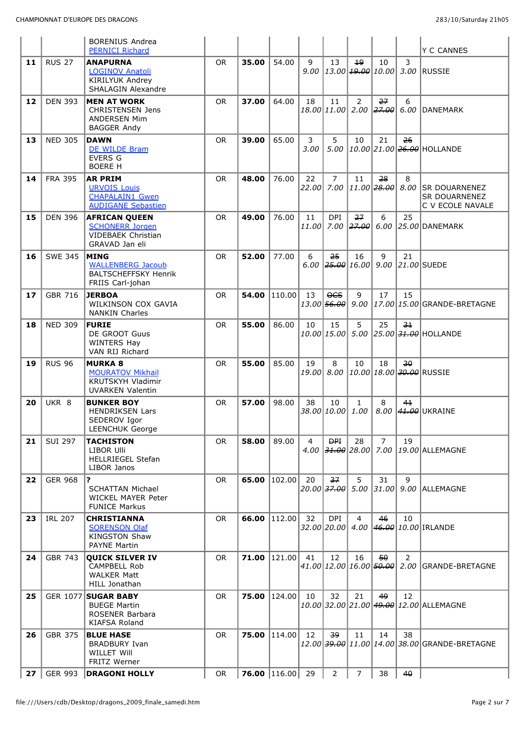|    |                | <b>BORENIUS Andrea</b><br><b>PERNICI Richard</b>                                             |           |       |                  |             |                                     |                      |                                                 |                | Y C CANNES                                              |
|----|----------------|----------------------------------------------------------------------------------------------|-----------|-------|------------------|-------------|-------------------------------------|----------------------|-------------------------------------------------|----------------|---------------------------------------------------------|
| 11 | <b>RUS 27</b>  | <b>ANAPURNA</b><br>LOGINOV Anatoli<br>KIRILYUK Andrey<br><b>SHALAGIN Alexandre</b>           | <b>OR</b> | 35.00 | 54.00            | 9           | 13                                  | 19                   | 10                                              | 3              | $9.00$  13.00 $\left  19.00 \right $ 10.00 3.00 RUSSIE  |
| 12 | <b>DEN 393</b> | <b>MEN AT WORK</b><br><b>CHRISTENSEN Jens</b><br><b>ANDERSEN Mim</b><br><b>BAGGER Andy</b>   | <b>OR</b> | 37.00 | 64.00            | 18          | 11                                  | 2                    | 27<br>18.00 11.00 2.00 27.00                    | 6<br>6.00      | DANEMARK                                                |
| 13 | <b>NED 305</b> | <b>DAWN</b><br>DE WILDE Bram<br><b>EVERS G</b><br><b>BOERE H</b>                             | <b>OR</b> | 39.00 | 65.00            | 3<br>3.00   | 5<br>5.00                           | 10                   | 21                                              | <del>26</del>  | 10.00 21.00 26.00 HOLLANDE                              |
| 14 | <b>FRA 395</b> | <b>AR PRIM</b><br><b>URVOIS Louis</b><br><b>CHAPALAIN1 Gwen</b><br><b>AUDIGANE Sebastien</b> | <b>OR</b> | 48.00 | 76.00            | 22<br>22.00 | $\overline{7}$                      | 11                   | 28<br>7.00 $11.00$ $28.00$                      | 8              | 8.00 SR DOUARNENEZ<br>SR DOUARNENEZ<br>C V ECOLE NAVALE |
| 15 | <b>DEN 396</b> | <b>AFRICAN QUEEN</b><br><b>SCHONERR Jorgen</b><br>VIDEBAEK Christian<br>GRAVAD Jan eli       | <b>OR</b> | 49.00 | 76.00            | 11<br>11.00 | <b>DPI</b>                          | 27                   | 6                                               | 25             | 7.00 $ 27.00 $ 6.00 $ 25.00 $ DANEMARK                  |
| 16 | <b>SWE 345</b> | <b>MING</b><br><b>WALLENBERG Jacoub</b><br><b>BALTSCHEFFSKY Henrik</b><br>FRIIS Carl-johan   | <b>OR</b> | 52.00 | 77.00            | 6           | 25                                  | 16                   | 9                                               | 21             | 6.00 $ 25.00 16.00 $ 9.00 $ 21.00 $ SUEDE               |
| 17 | <b>GBR 716</b> | <b>JERBOA</b><br>WILKINSON COX GAVIA<br><b>NANKIN Charles</b>                                | <b>OR</b> | 54.00 | 110.00           | 13          | $\overline{QCS}$<br>$13.00$ $56.00$ | 9<br>9.00            | 17                                              | 15             | 17.00 15.00 GRANDE-BRETAGNE                             |
| 18 | <b>NED 309</b> | <b>FURIE</b><br>DE GROOT Guus<br><b>WINTERS Hay</b><br>VAN RIJ Richard                       | <b>OR</b> | 55.00 | 86.00            | 10          | 15                                  | 5                    | 25                                              | $-3+$          | 10.00 15.00 5.00 25.00 31.00 HOLLANDE                   |
|    |                |                                                                                              |           |       |                  |             |                                     |                      |                                                 |                |                                                         |
| 19 | <b>RUS 96</b>  | <b>MURKA 8</b><br><b>MOURATOV Mikhail</b><br>KRUTSKYH Vladimir<br><b>UVARKEN Valentin</b>    | <b>OR</b> | 55.00 | 85.00            | 19          | 8                                   | 10                   | 18                                              | 30             | 19.00 8.00 10.00 18.00 30.00 RUSSIE                     |
| 20 | UKR 8          | <b>BUNKER BOY</b><br><b>HENDRIKSEN Lars</b><br>SEDEROV Igor<br>LEENCHUK George               | <b>OR</b> | 57.00 | 98.00            | 38          | 10<br>38.00 10.00                   | $\mathbf{1}$<br>1.00 | 8                                               | 41             | 8.00 41.00 UKRAINE                                      |
| 21 | <b>SUI 297</b> | TACHISTON<br>LIBOR Ulli<br><b>HELLRIEGEL Stefan</b><br>LIBOR Janos                           | OR.       | 58.00 | 89.00            | 4           | <b>DPI</b>                          | 28                   | $\overline{7}$                                  | 19             | 4.00 31.00 28.00 7.00 19.00 ALLEMAGNE                   |
| 22 | <b>GER 968</b> | 5.<br><b>SCHATTAN Michael</b><br>WICKEL MAYER Peter<br><b>FUNICE Markus</b>                  | <b>OR</b> | 65.00 | 102.00           | 20          | 37<br>20.00 <del>37.00</del> 5.00   | 5                    | 31                                              | 9              | 31.00 9.00 ALLEMAGNE                                    |
| 23 | <b>IRL 207</b> | CHRISTIANNA<br><b>SORENSON Olaf</b><br><b>KINGSTON Shaw</b><br><b>PAYNE Martin</b>           | <b>OR</b> | 66.00 | 112.00           | 32          | <b>DPI</b>                          | $\overline{4}$       | 46                                              | 10             | 32.00 20.00 4.00 46.00 10.00 IRLANDE                    |
| 24 | <b>GBR 743</b> | <b>QUICK SILVER IV</b><br>CAMPBELL Rob<br><b>WALKER Matt</b><br>HILL Jonathan                | OR.       |       | 71.00 $ 121.00 $ | 41          | 12                                  | 16                   | $50 -$<br>$41.00 12.00 16.00 $ <del>50.00</del> | $\overline{2}$ | 2.00 GRANDE-BRETAGNE                                    |
| 25 |                | GER 1077 SUGAR BABY<br><b>BUEGE Martin</b><br>ROSENER Barbara<br><b>KIAFSA Roland</b>        | <b>OR</b> | 75.00 | 124.00           | 10          | 32                                  | 21                   | 49                                              | 12             | 10.00 32.00 21.00 49.00 12.00 ALLEMAGNE                 |
| 26 | <b>GBR 375</b> | <b>BLUE HASE</b><br><b>BRADBURY Ivan</b><br><b>WILLET Will</b><br><b>FRITZ Werner</b>        | <b>OR</b> | 75.00 | 114.00           | 12          | وو                                  | 11                   | 14                                              | 38             | 12.00 39.00 11.00 14.00 38.00 GRANDE-BRETAGNE           |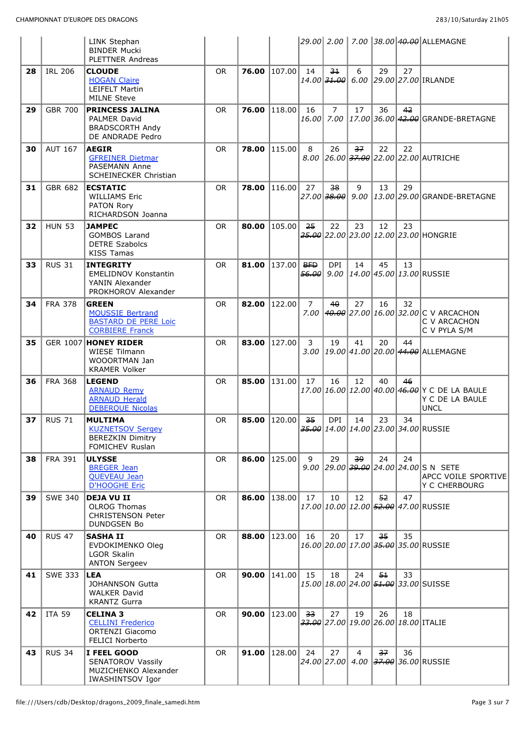|    |                | LINK Stephan<br><b>BINDER Mucki</b><br><b>PLETTNER Andreas</b>                                   |           |       |                  |                                    |                              |    |      |    | 29.00 2.00 7.00 38.00 40.00 ALLEMAGNE                                           |
|----|----------------|--------------------------------------------------------------------------------------------------|-----------|-------|------------------|------------------------------------|------------------------------|----|------|----|---------------------------------------------------------------------------------|
| 28 | <b>IRL 206</b> | <b>CLOUDE</b><br><b>HOGAN Claire</b><br><b>LEIFELT Martin</b><br><b>MILNE Steve</b>              | <b>OR</b> | 76.00 | 107.00           | 14                                 | 34<br>14.00 <del>31.00</del> | 6  | 29   | 27 | 6.00 29.00 27.00 IRLANDE                                                        |
| 29 | <b>GBR 700</b> | <b>PRINCESS JALINA</b><br>PALMER David<br><b>BRADSCORTH Andv</b><br>DE ANDRADE Pedro             | <b>OR</b> | 76.00 | 118.00           | 16                                 | $\overline{7}$               | 17 | 36   | 42 | 16.00 7.00 17.00 36.00 42.00 GRANDE-BRETAGNE                                    |
| 30 | <b>AUT 167</b> | <b>AEGIR</b><br><b>GFREINER Dietmar</b><br><b>PASEMANN Anne</b><br>SCHEINECKER Christian         | <b>OR</b> | 78.00 | 115.00           | 8                                  | 26                           | 37 | 22   | 22 | 8.00 26.00 37.00 22.00 22.00 AUTRICHE                                           |
| 31 | GBR 682        | <b>ECSTATIC</b><br><b>WILLIAMS Eric</b><br>PATON Rory<br>RICHARDSON Joanna                       | <b>OR</b> | 78.00 | 116.00           | 27                                 | 38<br>$27.00$ 38.00          | 9  | 13   | 29 | 9.00 13.00 29.00 GRANDE-BRETAGNE                                                |
| 32 | <b>HUN 53</b>  | <b>JAMPEC</b><br><b>GOMBOS Larand</b><br><b>DETRE Szabolcs</b><br><b>KISS Tamas</b>              | <b>OR</b> | 80.00 | 105.00           | 25                                 | 22                           | 23 | 12   | 23 | 25.00 22.00 23.00 12.00 23.00 HONGRIE                                           |
| 33 | <b>RUS 31</b>  | <b>INTEGRITY</b><br><b>EMELIDNOV Konstantin</b><br>YANIN Alexander<br>PROKHOROV Alexander        | <b>OR</b> | 81.00 | 137.00           | <del>BFD</del><br><del>56.00</del> | DPI<br>9.00                  | 14 | 45   | 13 | 14.00 45.00 13.00 RUSSE                                                         |
| 34 | <b>FRA 378</b> | <b>GREEN</b><br><b>MOUSSIE Bertrand</b><br><b>BASTARD DE PERE Loic</b><br><b>CORBIERE Franck</b> | <b>OR</b> | 82.00 | 122.00           | $\overline{7}$<br>7.00             | 40                           | 27 | 16   | 32 | 40.00 27.00 16.00 32.00 C V ARCACHON<br>C V ARCACHON<br>C V PYLA S/M            |
| 35 | GER 1007       | <b>HONEY RIDER</b><br><b>WIESE Tilmann</b><br>WOOORTMAN Jan<br><b>KRAMER Volker</b>              | <b>OR</b> | 83.00 | 127.00           | 3                                  | 19                           | 41 | 20   | 44 | 3.00 19.00 41.00 20.00 44.00 ALLEMAGNE                                          |
| 36 | <b>FRA 368</b> | <b>LEGEND</b><br><b>ARNAUD Remy</b><br><b>ARNAUD Herald</b><br><b>DEBEROUE Nicolas</b>           | <b>OR</b> | 85.00 | 131.00           | 17                                 | 16                           | 12 | 40   | 46 | 17.00 16.00 12.00 40.00 46.00 Y C DE LA BAULE<br>Y C DE LA BAULE<br><b>UNCL</b> |
| 37 | <b>RUS 71</b>  | <b>MULTIMA</b><br><b>KUZNETSOV Sergey</b><br><b>BEREZKIN Dimitry</b><br>FOMICHEV Ruslan          | <b>OR</b> | 85.00 | 120.00           | 35                                 | <b>DPI</b>                   | 14 | 23   | 34 | 35.00 14.00 14.00 23.00 34.00 RUSSIE                                            |
| 38 | <b>FRA 391</b> | <b>ULYSSE</b><br><b>BREGER Jean</b><br><b>QUEVEAU Jean</b><br><b>D'HOOGHE Eric</b>               | <b>OR</b> | 86.00 | 125.00           | 9                                  | 29                           | وو | 24   | 24 | 9.00 29.00 39.00 24.00 24.00 S N SETE<br>APCC VOILE SPORTIVE<br>Y C CHERBOURG   |
| 39 | <b>SWE 340</b> | <b>DEJA VU II</b><br>OLROG Thomas<br><b>CHRISTENSON Peter</b><br><b>DUNDGSEN Bo</b>              | <b>OR</b> | 86.00 | 138.00           | 17                                 | 10                           | 12 | 52   | 47 | 17.00 10.00 12.00 52.00 47.00 RUSSIE                                            |
| 40 | <b>RUS 47</b>  | <b>SASHA II</b><br>EVDOKIMENKO Oleg<br>LGOR Skalin<br><b>ANTON Sergeev</b>                       | <b>OR</b> |       | 88.00 $ 123.00 $ | 16                                 | 20                           | 17 | 35   | 35 | 16.00 20.00 17.00 35.00 35.00 RUSSIE                                            |
| 41 | <b>SWE 333</b> | <b>LEA</b><br>JOHANNSON Gutta<br><b>WALKER David</b><br><b>KRANTZ Gurra</b>                      | <b>OR</b> | 90.00 | 141.00           | 15                                 | 18                           | 24 | $5+$ | 33 | 15.00 18.00 24.00 51.00 33.00 SUISSE                                            |
| 42 | <b>ITA 59</b>  | <b>CELINA 3</b><br><b>CELLINI Frederico</b><br><b>ORTENZI Giacomo</b><br><b>FELICI Norberto</b>  | OR.       | 90.00 | 123.00           | 33                                 | 27                           | 19 | 26   | 18 | $33.00$ 27.00 19.00 26.00 18.00 ITALIE                                          |
| 43 | <b>RUS 34</b>  | I FEEL GOOD<br>SENATOROV Vassily<br>MUZICHENKO Alexander<br><b>IWASHINTSOV Igor</b>              | <b>OR</b> | 91.00 | 128.00           | 24                                 | 27                           | 4  | 37   | 36 | 24.00 27.00 4.00 37.00 36.00 RUSSIE                                             |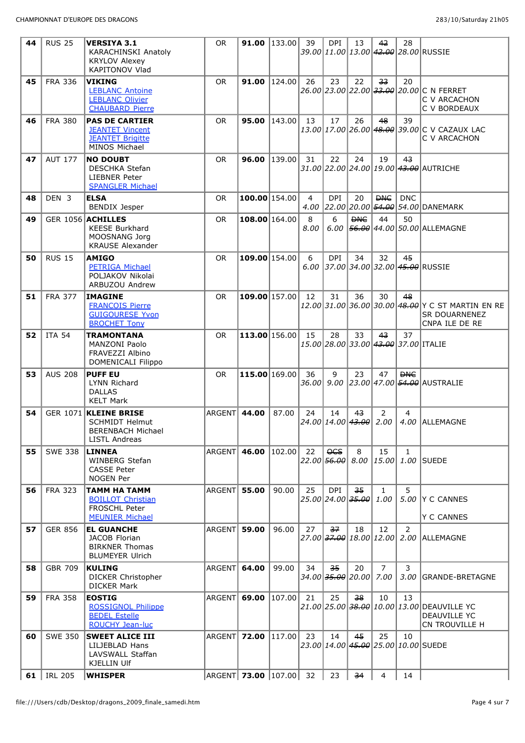| 44 | <b>RUS 25</b>  | <b>VERSIYA 3.1</b><br><b>KARACHINSKI Anatoly</b><br><b>KRYLOV Alexey</b><br><b>KAPITONOV Vlad</b>  | <b>OR</b>              |               | <b>91.00</b>   133.00 | 39                     | DPI.                                  | 13             | 42                     | 28             | 39.00 11.00 13.00 42.00 28.00 RUSSIE                                                 |
|----|----------------|----------------------------------------------------------------------------------------------------|------------------------|---------------|-----------------------|------------------------|---------------------------------------|----------------|------------------------|----------------|--------------------------------------------------------------------------------------|
| 45 | <b>FRA 336</b> | <b>VIKING</b><br><b>LEBLANC Antoine</b><br><b>LEBLANC Olivier</b><br><b>CHAUBARD Pierre</b>        | <b>OR</b>              | 91.00         | 124.00                | 26                     | 23                                    | 22             | 33                     | 20             | 26.00 23.00 22.00 33.00 20.00 C N FERRET<br>C V ARCACHON<br>C V BORDEAUX             |
| 46 | <b>FRA 380</b> | <b>PAS DE CARTIER</b><br><b>JEANTET Vincent</b><br><b>JEANTET Brigitte</b><br>MINOS Michael        | <b>OR</b>              | 95.00         | 143.00                | 13                     | 17                                    | 26             | 48                     | 39             | 13.00 17.00 26.00 48.00 39.00 C V CAZAUX LAC<br>C V ARCACHON                         |
| 47 | <b>AUT 177</b> | <b>NO DOUBT</b><br><b>DESCHKA Stefan</b><br><b>LIEBNER Peter</b><br><b>SPANGLER Michael</b>        | <b>OR</b>              | 96.00         | 139.00                | 31                     | 22                                    | 24             | 19                     | 43             | 31.00 22.00 24.00 19.00 43.00 AUTRICHE                                               |
| 48 | DEN 3          | <b>ELSA</b><br><b>BENDIX Jesper</b>                                                                | OR.                    |               | $100.00$ 154.00       | $\overline{4}$<br>4.00 | <b>DPI</b>                            | 20             | <b>DHC</b>             | <b>DNC</b>     | 22.00 20.00 54.00 54.00 DANEMARK                                                     |
| 49 |                | GER 1056 ACHILLES<br><b>KEESE Burkhard</b><br>MOOSNANG Jorg<br><b>KRAUSE Alexander</b>             | <b>OR</b>              |               | $108.00$ 164.00       | 8<br>8.00              | 6<br>6.00                             | <b>DNC</b>     | 44                     | 50             | 56.00 44.00 50.00 ALLEMAGNE                                                          |
| 50 | <b>RUS 15</b>  | <b>AMIGO</b><br><b>PETRIGA Michael</b><br>POLJAKOV Nikolai<br>ARBUZOU Andrew                       | <b>OR</b>              |               | $109.00$ 154.00       | 6                      | <b>DPI</b>                            | 34             | 32                     | 45             | 6.00 37.00 34.00 32.00 45.00 RUSSIE                                                  |
| 51 | <b>FRA 377</b> | <b>IMAGINE</b><br><b>FRANCOIS Pierre</b><br><b>GUIGOURESE Yvon</b><br><b>BROCHET Tony</b>          | <b>OR</b>              |               | 109.00 157.00         | 12                     | 31                                    | 36             | 30                     | 48             | 12.00 31.00 36.00 30.00 48.00 Y C ST MARTIN EN RE<br>SR DOUARNENEZ<br>CNPA ILE DE RE |
| 52 | <b>ITA 54</b>  | <b>TRAMONTANA</b><br>MANZONI Paolo<br>FRAVEZZI Albino<br>DOMENICALI Filippo                        | <b>OR</b>              |               | 113.00 156.00         | 15                     | 28                                    | 33             | 4 <sup>3</sup>         | 37             | 15.00 28.00 33.00 43.00 37.00 ITALIE                                                 |
| 53 | <b>AUS 208</b> | <b>PUFF EU</b><br><b>LYNN Richard</b><br><b>DALLAS</b><br><b>KELT Mark</b>                         | <b>OR</b>              | 115.00 169.00 |                       | 36                     | 9                                     | 23             | 47                     | <b>DHC</b>     | 36.00 9.00 23.00 47.00 54.00 AUSTRALIE                                               |
| 54 |                | GER 1071 KLEINE BRISE<br><b>SCHMIDT Helmut</b><br><b>BERENBACH Michael</b><br><b>LISTL Andreas</b> | ARGENT                 | 44.00         | 87.00                 | 24                     | 14<br>24.00 14.00 43.00               | 4 <sup>3</sup> | $\overline{2}$<br>2.00 | 4              | 4.00 ALLEMAGNE                                                                       |
| 55 | <b>SWE 338</b> | LINNEA<br>WINBERG Stefan<br><b>CASSE Peter</b><br><b>NOGEN Per</b>                                 | ARGENT 46.00           |               | 102.00                | 22                     | $\overline{OCS}$                      | 8              | 15                     | $\mathbf{1}$   | 22.00 <del>56.00</del> 8.00 15.00 1.00 SUEDE                                         |
| 56 | <b>FRA 323</b> | TAMM HA TAMM<br><b>BOILLOT Christian</b><br><b>FROSCHL Peter</b><br><b>MEUNIER Michael</b>         | <b>ARGENT 55.00</b>    |               | 90.00                 | 25                     | <b>DPI</b><br>$25.00$ $24.00$ $35.00$ | 35             | $\mathbf{1}$<br>1.00   | 5              | 5.00 Y C CANNES<br><b>Y C CANNES</b>                                                 |
| 57 | <b>GER 856</b> | <b>EL GUANCHE</b><br>JACOB Florian<br><b>BIRKNER Thomas</b><br><b>BLUMEYER Ulrich</b>              | ARGENT 59.00           |               | 96.00                 | 27                     | 37                                    | 18             | 12                     | $\overline{2}$ | 27.00 37.00 18.00 12.00 2.00 ALLEMAGNE                                               |
| 58 | <b>GBR 709</b> | <b>KULING</b><br><b>DICKER Christopher</b><br><b>DICKER Mark</b>                                   | ARGENT                 | 64.00         | 99.00                 | 34                     | 35<br>34.00 35.00 20.00 7.00          | 20             | $\overline{7}$         | 3              | 3.00 GRANDE-BRETAGNE                                                                 |
| 59 | <b>FRA 358</b> | <b>EOSTIG</b><br><b>ROSSIGNOL Philippe</b><br><b>BEDEL Estelle</b><br><b>ROUCHY Jean-luc</b>       | ARGENT 69.00           |               | 107.00                | 21                     | 25                                    | <del>38</del>  | 10                     | 13             | 21.00 25.00 38.00 10.00 13.00 DEAUVILLE YC<br>DEAUVILLE YC<br>CN TROUVILLE H         |
| 60 | <b>SWE 350</b> | <b>SWEET ALICE III</b><br>LILJEBLAD Hans<br>LAVSWALL Staffan<br><b>KJELLIN Ulf</b>                 | ARGENT 72.00           |               | 117.00                | 23                     | 14                                    | 45             | 25                     | 10             | 23.00 14.00 45.00 25.00 10.00 SUEDE                                                  |
|    | 61   IRL 205   | <b>WHISPER</b>                                                                                     | ARGENT 73.00 107.00 32 |               |                       |                        | 23                                    | 34             | $\overline{4}$         | 14             |                                                                                      |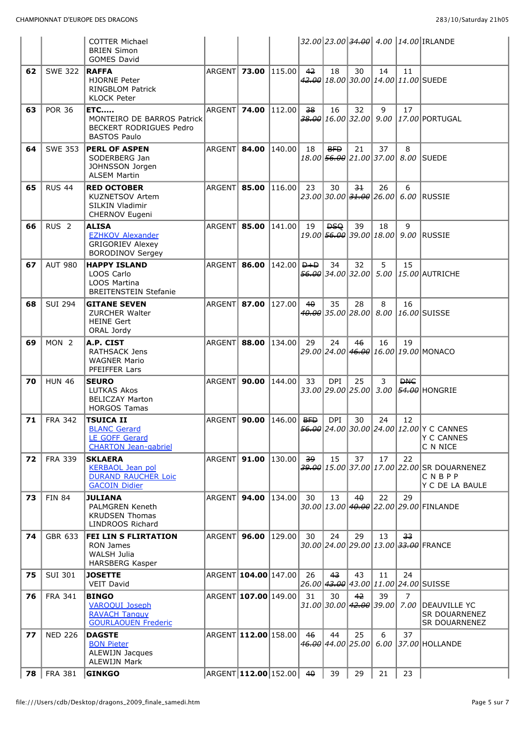|    |                  | <b>COTTER Michael</b><br><b>BRIEN Simon</b><br><b>GOMES David</b>                               |                       |                         |                         |                |                                               |       |    |                        | 32.00 23.00 <del>34.00</del> 4.00 14.00 IRLANDE                         |
|----|------------------|-------------------------------------------------------------------------------------------------|-----------------------|-------------------------|-------------------------|----------------|-----------------------------------------------|-------|----|------------------------|-------------------------------------------------------------------------|
| 62 | <b>SWE 322</b>   | <b>RAFFA</b><br><b>HJORNE Peter</b><br><b>RINGBLOM Patrick</b><br><b>KLOCK Peter</b>            |                       | ARGENT 73.00            | 115.00                  | 42             | 18                                            | 30    | 14 | 11                     | 42.00 18.00 30.00 14.00 11.00 SUEDE                                     |
| 63 | <b>POR 36</b>    | <b>ETC</b><br>MONTEIRO DE BARROS Patrick<br>BECKERT RODRIGUES Pedro<br><b>BASTOS Paulo</b>      | ARGENT 74.00          |                         | 112.00                  | 38             | 16                                            | 32    | 9  | 17                     | 38.00 16.00 32.00 9.00 17.00 PORTUGAL                                   |
| 64 | <b>SWE 353</b>   | <b>PERL OF ASPEN</b><br>SODERBERG Jan<br>JOHNSSON Jorgen<br><b>ALSEM Martin</b>                 | ARGENT 84.00          |                         | 140.00                  | 18             | <b>BFD</b>                                    | 21    | 37 | 8                      | 18.00 56.00 21.00 37.00 8.00 SUEDE                                      |
| 65 | <b>RUS 44</b>    | <b>RED OCTOBER</b><br><b>KUZNETSOV Artem</b><br>SILKIN Vladimir<br>CHERNOV Eugeni               | ARGENT 85.00          |                         | 116.00                  | 23             | 30                                            | $-3+$ | 26 | 6                      | 23.00 30.00 31.00 26.00 6.00 RUSSIE                                     |
| 66 | RUS <sub>2</sub> | <b>ALISA</b><br><b>EZHKOV Alexander</b><br><b>GRIGORIEV Alexey</b><br><b>BORODINOV Sergey</b>   |                       | ARGENT 85.00            | 141.00                  | 19             | <del>DSQ</del>                                | 39    | 18 | 9                      | 19.00 <del>56.00</del> 39.00 18.00 9.00 RUSSIE                          |
| 67 | <b>AUT 980</b>   | <b>HAPPY ISLAND</b><br>LOOS Carlo<br>LOOS Martina<br><b>BREITENSTEIN Stefanie</b>               | ARGENT 86.00          |                         | 142.00   <del>D+D</del> |                | 34                                            | 32    | 5  | 15                     | 56.00 34.00 32.00 5.00 15.00 AUTRICHE                                   |
| 68 | <b>SUI 294</b>   | <b>GITANE SEVEN</b><br><b>ZURCHER Walter</b><br><b>HEINE Gert</b><br>ORAL Jordy                 | ARGENT 87.00          |                         | 127.00                  | $4\theta$      | 35                                            | 28    | 8  | 16                     | 40.00 35.00 28.00 8.00 16.00 SUISSE                                     |
| 69 | MON <sub>2</sub> | A.P. CIST<br><b>RATHSACK Jens</b><br><b>WAGNER Mario</b><br>PFEIFFER Lars                       | ARGENT <b>  88.00</b> |                         | 134.00                  | 29             | 24                                            | 46    | 16 | 19                     | 29.00 24.00 46.00 16.00 19.00 MONACO                                    |
| 70 | <b>HUN 46</b>    | <b>SEURO</b><br><b>LUTKAS Akos</b><br><b>BELICZAY Marton</b><br><b>HORGOS Tamas</b>             | ARGENT 90.00          |                         | 144.00                  | 33             | <b>DPI</b>                                    | 25    | 3  | <b>DHC</b>             | 33.00 29.00 25.00 3.00 54.00 HONGRIE                                    |
| 71 | <b>FRA 342</b>   | <b>TSUICA II</b><br><b>BLANC Gerard</b><br><b>LE GOFF Gerard</b><br><b>CHARTON Jean-gabriel</b> | ARGENT   90.00        |                         | 146.00                  | <del>BFD</del> | <b>DPI</b>                                    | 30    | 24 | 12                     | 56.00 24.00 30.00 24.00 12.00 Y C CANNES<br>Y C CANNES<br>C N NICE      |
| 72 | <b>FRA 339</b>   | <b>SKLAERA</b><br><b>KERBAOL Jean pol</b><br><b>DURAND RAUCHER Loic</b><br><b>GACOIN Didier</b> | ARGENT 91.00          |                         | $\vert$ 130.00 $\vert$  | وو             | 15                                            | 37    | 17 | 22                     | 39.00 15.00 37.00 17.00 22.00 SR DOUARNENEZ<br>CNBPP<br>Y C DE LA BAULE |
| 73 | <b>FIN 84</b>    | <b>JULIANA</b><br><b>PALMGREN Keneth</b><br><b>KRUDSEN Thomas</b><br>LINDROOS Richard           | ARGENT                | 94.00                   | 134.00                  | 30             | 13                                            | 40    | 22 | 29                     | 30.00 13.00 40.00 22.00 29.00 FINLANDE                                  |
| 74 | GBR 633          | <b>FEI LIN S FLIRTATION</b><br>RON James<br>WALSH Julia<br><b>HARSBERG Kasper</b>               | ARGENT 96.00          |                         | 129.00                  | 30             | 24                                            | 29    | 13 | 33                     | 30.00 24.00 29.00 13.00 33.00 FRANCE                                    |
| 75 | <b>SUI 301</b>   | <b>JOSETTE</b><br><b>VEIT David</b>                                                             |                       | ARGENT 104.00 147.00    |                         | 26             | 43                                            | 43    | 11 | 24                     | 26.00 43.00 43.00 11.00 24.00 SUISSE                                    |
| 76 | <b>FRA 341</b>   | <b>BINGO</b><br><b>VAROQUI Joseph</b><br><b>RAVACH Tanguy</b><br><b>GOURLAOUEN Frederic</b>     |                       | ARGENT 107.00 149.00    |                         | 31             | 30<br>$31.00$  30.00  <del>42.00</del>  39.00 | 42    | 39 | $\overline{7}$<br>7.00 | IDEAUVILLE YC<br>SR DOUARNENEZ<br>SR DOUARNENEZ                         |
| 77 | <b>NED 226</b>   | <b>DAGSTE</b><br><b>BON Pieter</b><br>ALEWIJN Jacques<br><b>ALEWIJN Mark</b>                    |                       | ARGENT 112.00 158.00    |                         | 46             | 44<br>46.00 44.00 25.00                       | 25    | 6  | 37                     | 6.00 37.00 HOLLANDE                                                     |
| 78 | <b>FRA 381</b>   | <b>GINKGO</b>                                                                                   |                       | ARGENT 112.00 152.00 40 |                         |                | 39                                            | 29    | 21 | 23                     |                                                                         |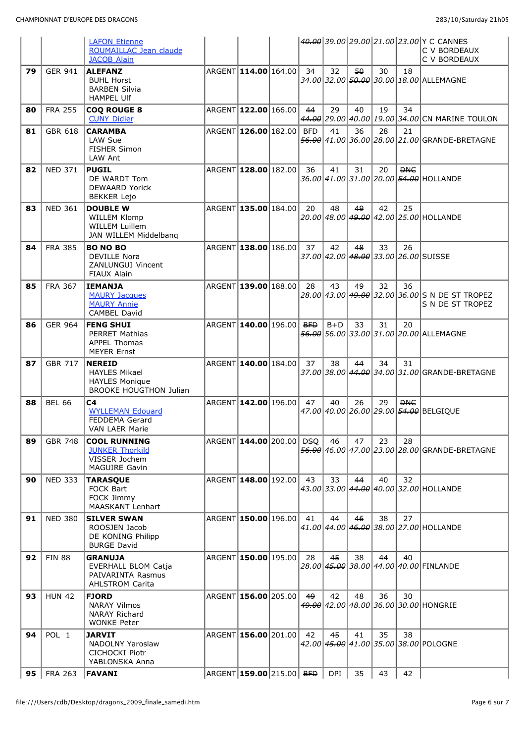|    |                | <b>LAFON Etienne</b><br>ROUMAILLAC Jean claude                                                  |                                     |    |       |    |    |            | 40.00 39.00 29.00 21.00 23.00 Y C CANNES<br>C V BORDEAUX           |
|----|----------------|-------------------------------------------------------------------------------------------------|-------------------------------------|----|-------|----|----|------------|--------------------------------------------------------------------|
|    |                | <b>JACOB Alain</b>                                                                              |                                     |    |       |    |    |            | C V BORDEAUX                                                       |
| 79 | <b>GER 941</b> | <b>ALEFANZ</b><br><b>BUHL Horst</b><br><b>BARBEN Silvia</b><br><b>HAMPEL Ulf</b>                | ARGENT 114.00 164.00                | 34 | 32    | 50 | 30 | 18         | 34.00 32.00 50.00 30.00 18.00 ALLEMAGNE                            |
| 80 | <b>FRA 255</b> | <b>COQ ROUGE 8</b><br><b>CUNY Didier</b>                                                        | ARGENT 122.00 166.00                | 44 | 29    | 40 | 19 | 34         | 44.00 29.00 40.00 19.00 34.00 CN MARINE TOULON                     |
| 81 | <b>GBR 618</b> | <b>CARAMBA</b><br>LAW Sue<br>FISHER Simon<br>LAW Ant                                            | ARGENT 126.00 182.00 <del>BFD</del> |    | 41    | 36 | 28 | 21         | 56.00 41.00 36.00 28.00 21.00 GRANDE-BRETAGNE                      |
| 82 | <b>NED 371</b> | <b>PUGIL</b><br>DE WARDT Tom<br><b>DEWAARD Yorick</b><br><b>BEKKER Lejo</b>                     | ARGENT 128.00 182.00                | 36 | 41    | 31 | 20 | <b>DHC</b> | 36.00 41.00 31.00 20.00 54.00 HOLLANDE                             |
| 83 | <b>NED 361</b> | <b>DOUBLE W</b><br><b>WILLEM Klomp</b><br><b>WILLEM Luillem</b><br>JAN WILLEM Middelbang        | ARGENT 135.00 184.00                | 20 | 48    | 49 | 42 | 25         | 20.00 48.00 49.00 42.00 25.00 HOLLANDE                             |
| 84 | <b>FRA 385</b> | <b>BO NO BO</b><br><b>DEVILLE Nora</b><br>ZANLUNGUI Vincent<br>FIAUX Alain                      | ARGENT 138.00 186.00                | 37 | 42    | 48 | 33 | 26         | 37.00 42.00 48.00 33.00 26.00 SUISSE                               |
| 85 | <b>FRA 367</b> | <b>IEMANJA</b><br><b>MAURY Jacques</b><br><b>MAURY Annie</b><br>CAMBEL David                    | ARGENT 139.00 188.00                | 28 | 43    | 49 | 32 | 36         | 28.00 43.00 49.00 32.00 36.00 S N DE ST TROPEZ<br>S N DE ST TROPEZ |
| 86 | <b>GER 964</b> | <b>FENG SHUI</b><br><b>PERRET Mathias</b><br>APPEL Thomas<br><b>MEYER Ernst</b>                 | ARGENT 140.00 196.00 BFD            |    | $B+D$ | 33 | 31 | 20         | 56.00 56.00 33.00 31.00 20.00 ALLEMAGNE                            |
|    |                |                                                                                                 |                                     |    |       |    |    |            |                                                                    |
| 87 | <b>GBR 717</b> | <b>NEREID</b><br><b>HAYLES Mikael</b><br><b>HAYLES Monique</b><br><b>BROOKE HOUGTHON Julian</b> | ARGENT 140.00 184.00                | 37 | 38    | 44 | 34 | 31         | 37.00 38.00 44.00 34.00 31.00 GRANDE-BRETAGNE                      |
| 88 | <b>BEL 66</b>  | C4<br><b>WYLLEMAN Edouard</b><br>FEDDEMA Gerard<br><b>VAN LAER Marie</b>                        | ARGENT 142.00 196.00                | 47 | 40    | 26 | 29 | <b>DHC</b> | 47.00 40.00 26.00 29.00 54.00 BELGIQUE                             |
| 89 | <b>GBR 748</b> | <b>COOL RUNNING</b><br><b>JUNKER Thorkild</b><br>VISSER Jochem<br><b>MAGUIRE Gavin</b>          | ARGENT 144.00 200.00 <del>DSQ</del> |    | 46    | 47 | 23 | 28         | 56.00 46.00 47.00 23.00 28.00 GRANDE-BRETAGNE                      |
| 90 | <b>NED 333</b> | <b>TARASQUE</b><br>FOCK Bart<br>FOCK Jimmy<br>MAASKANT Lenhart                                  | ARGENT 148.00 192.00                | 43 | 33    | 44 | 40 | 32         | 43.00 33.00 44.00 40.00 32.00 HOLLANDE                             |
| 91 | <b>NED 380</b> | <b>SILVER SWAN</b><br>ROOSJEN Jacob<br>DE KONING Philipp<br><b>BURGE David</b>                  | ARGENT 150.00 196.00                | 41 | 44    | 46 | 38 | 27         | 41.00 44.00 46.00 38.00 27.00 HOLLANDE                             |
| 92 | <b>FIN 88</b>  | <b>GRANUJA</b><br>EVERHALL BLOM Catja<br>PAIVARINTA Rasmus<br><b>AHLSTROM Carita</b>            | ARGENT 150.00 195.00                | 28 | 45    | 38 | 44 | 40         | 28.00 45.00 38.00 44.00 40.00 FINLANDE                             |
| 93 | <b>HUN 42</b>  | <b>FJORD</b><br><b>NARAY Vilmos</b><br><b>NARAY Richard</b><br><b>WONKE Peter</b>               | ARGENT 156.00 205.00                | 49 | 42    | 48 | 36 | 30         | 49.00 42.00 48.00 36.00 30.00 HONGRIE                              |
| 94 | POL 1          | <b>JARVIT</b><br><b>NADOLNY Yaroslaw</b><br>CICHOCKI Piotr<br>YABLONSKA Anna                    | ARGENT 156.00 201.00                | 42 | 45    | 41 | 35 | 38         | 42.00 45.00 41.00 35.00 38.00 POLOGNE                              |